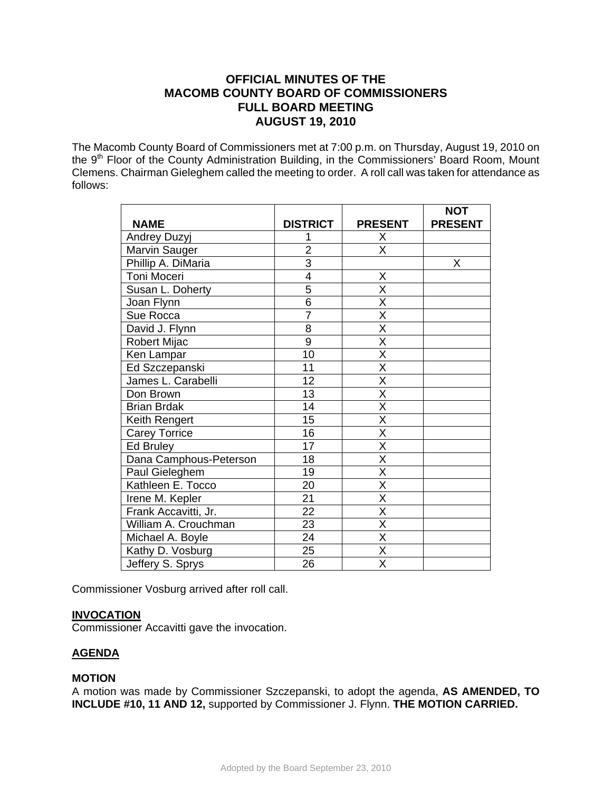# **OFFICIAL MINUTES OF THE MACOMB COUNTY BOARD OF COMMISSIONERS FULL BOARD MEETING AUGUST 19, 2010**

The Macomb County Board of Commissioners met at 7:00 p.m. on Thursday, August 19, 2010 on the 9<sup>th</sup> Floor of the County Administration Building, in the Commissioners' Board Room, Mount Clemens. Chairman Gieleghem called the meeting to order. A roll call was taken for attendance as follows:

|                        |                 |                         | <b>NOT</b>     |
|------------------------|-----------------|-------------------------|----------------|
| <b>NAME</b>            | <b>DISTRICT</b> | <b>PRESENT</b>          | <b>PRESENT</b> |
| Andrey Duzyj           |                 | X                       |                |
| Marvin Sauger          | $\overline{2}$  | $\overline{\mathsf{x}}$ |                |
| Phillip A. DiMaria     | $\overline{3}$  |                         | X              |
| Toni Moceri            | $\overline{4}$  | X                       |                |
| Susan L. Doherty       | $\overline{5}$  | X                       |                |
| Joan Flynn             | $\overline{6}$  | $\overline{\mathsf{x}}$ |                |
| Sue Rocca              | $\overline{7}$  | $\overline{\mathsf{x}}$ |                |
| David J. Flynn         | 8               | $\overline{\mathsf{x}}$ |                |
| <b>Robert Mijac</b>    | $\overline{9}$  | $\overline{\mathsf{x}}$ |                |
| Ken Lampar             | 10              | $\overline{\mathsf{x}}$ |                |
| Ed Szczepanski         | 11              | X                       |                |
| James L. Carabelli     | 12              | $\overline{\mathsf{x}}$ |                |
| Don Brown              | 13              | $\overline{\mathsf{x}}$ |                |
| <b>Brian Brdak</b>     | 14              | X                       |                |
| Keith Rengert          | 15              | $\overline{\mathsf{x}}$ |                |
| <b>Carey Torrice</b>   | 16              | X                       |                |
| Ed Bruley              | $\overline{17}$ | $\overline{\mathsf{x}}$ |                |
| Dana Camphous-Peterson | 18              | $\overline{\mathsf{x}}$ |                |
| Paul Gieleghem         | 19              | $\overline{\mathsf{x}}$ |                |
| Kathleen E. Tocco      | 20              | X                       |                |
| Irene M. Kepler        | 21              | X                       |                |
| Frank Accavitti, Jr.   | 22              | $\overline{\mathsf{x}}$ |                |
| William A. Crouchman   | 23              | X                       |                |
| Michael A. Boyle       | 24              | X                       |                |
| Kathy D. Vosburg       | 25              | $\overline{\mathsf{x}}$ |                |
| Jeffery S. Sprys       | 26              | X                       |                |

Commissioner Vosburg arrived after roll call.

### **INVOCATION**

Commissioner Accavitti gave the invocation.

### **AGENDA**

### **MOTION**

A motion was made by Commissioner Szczepanski, to adopt the agenda, **AS AMENDED, TO INCLUDE #10, 11 AND 12,** supported by Commissioner J. Flynn. **THE MOTION CARRIED.**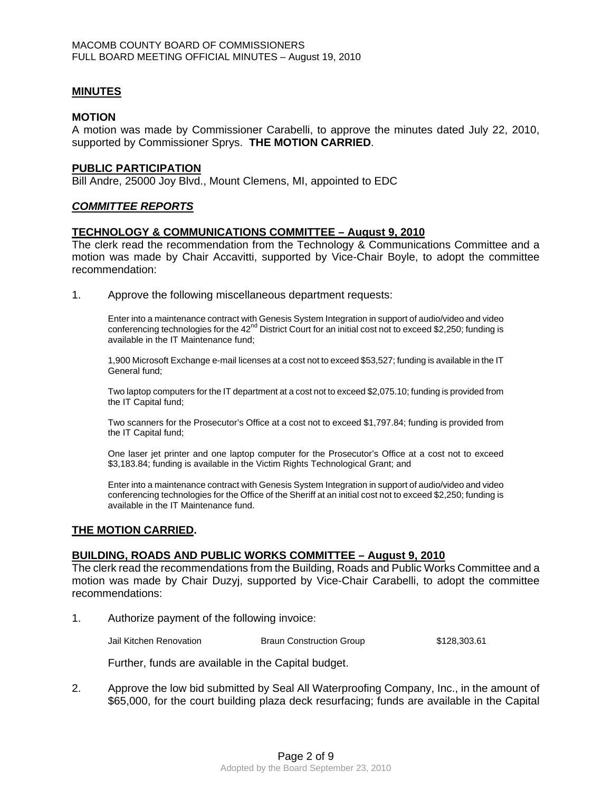### **MINUTES**

#### **MOTION**

A motion was made by Commissioner Carabelli, to approve the minutes dated July 22, 2010, supported by Commissioner Sprys. **THE MOTION CARRIED**.

#### **PUBLIC PARTICIPATION**

Bill Andre, 25000 Joy Blvd., Mount Clemens, MI, appointed to EDC

#### *COMMITTEE REPORTS*

#### **TECHNOLOGY & COMMUNICATIONS COMMITTEE – August 9, 2010**

The clerk read the recommendation from the Technology & Communications Committee and a motion was made by Chair Accavitti, supported by Vice-Chair Boyle, to adopt the committee recommendation:

1. Approve the following miscellaneous department requests:

Enter into a maintenance contract with Genesis System Integration in support of audio/video and video conferencing technologies for the  $42^{nd}$  District Court for an initial cost not to exceed \$2,250; funding is available in the IT Maintenance fund;

1,900 Microsoft Exchange e-mail licenses at a cost not to exceed \$53,527; funding is available in the IT General fund;

Two laptop computers for the IT department at a cost not to exceed \$2,075.10; funding is provided from the IT Capital fund;

Two scanners for the Prosecutor's Office at a cost not to exceed \$1,797.84; funding is provided from the IT Capital fund;

One laser jet printer and one laptop computer for the Prosecutor's Office at a cost not to exceed \$3,183.84; funding is available in the Victim Rights Technological Grant; and

Enter into a maintenance contract with Genesis System Integration in support of audio/video and video conferencing technologies for the Office of the Sheriff at an initial cost not to exceed \$2,250; funding is available in the IT Maintenance fund.

#### **THE MOTION CARRIED.**

#### **BUILDING, ROADS AND PUBLIC WORKS COMMITTEE – August 9, 2010**

The clerk read the recommendations from the Building, Roads and Public Works Committee and a motion was made by Chair Duzyj, supported by Vice-Chair Carabelli, to adopt the committee recommendations:

1. Authorize payment of the following invoice:

Jail Kitchen Renovation Braun Construction Group \$128,303.61

Further, funds are available in the Capital budget.

2. Approve the low bid submitted by Seal All Waterproofing Company, Inc., in the amount of \$65,000, for the court building plaza deck resurfacing; funds are available in the Capital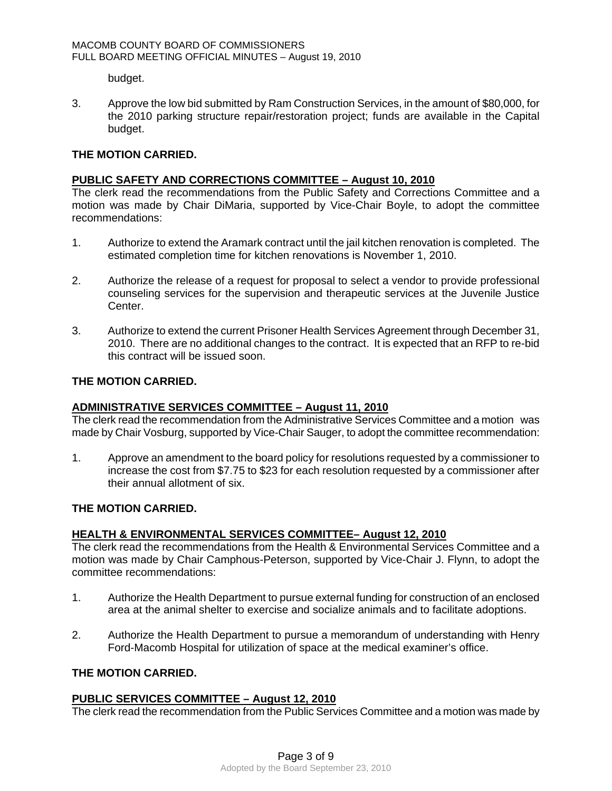budget.

3. Approve the low bid submitted by Ram Construction Services, in the amount of \$80,000, for the 2010 parking structure repair/restoration project; funds are available in the Capital budget.

## **THE MOTION CARRIED.**

#### **PUBLIC SAFETY AND CORRECTIONS COMMITTEE – August 10, 2010**

The clerk read the recommendations from the Public Safety and Corrections Committee and a motion was made by Chair DiMaria, supported by Vice-Chair Boyle, to adopt the committee recommendations:

- 1. Authorize to extend the Aramark contract until the jail kitchen renovation is completed. The estimated completion time for kitchen renovations is November 1, 2010.
- 2. Authorize the release of a request for proposal to select a vendor to provide professional counseling services for the supervision and therapeutic services at the Juvenile Justice Center.
- 3. Authorize to extend the current Prisoner Health Services Agreement through December 31, 2010. There are no additional changes to the contract. It is expected that an RFP to re-bid this contract will be issued soon.

## **THE MOTION CARRIED.**

### **ADMINISTRATIVE SERVICES COMMITTEE – August 11, 2010**

The clerk read the recommendation from the Administrative Services Committee and a motion was made by Chair Vosburg, supported by Vice-Chair Sauger, to adopt the committee recommendation:

1. Approve an amendment to the board policy for resolutions requested by a commissioner to increase the cost from \$7.75 to \$23 for each resolution requested by a commissioner after their annual allotment of six.

### **THE MOTION CARRIED.**

## **HEALTH & ENVIRONMENTAL SERVICES COMMITTEE– August 12, 2010**

The clerk read the recommendations from the Health & Environmental Services Committee and a motion was made by Chair Camphous-Peterson, supported by Vice-Chair J. Flynn, to adopt the committee recommendations:

- 1. Authorize the Health Department to pursue external funding for construction of an enclosed area at the animal shelter to exercise and socialize animals and to facilitate adoptions.
- 2. Authorize the Health Department to pursue a memorandum of understanding with Henry Ford-Macomb Hospital for utilization of space at the medical examiner's office.

### **THE MOTION CARRIED.**

#### **PUBLIC SERVICES COMMITTEE – August 12, 2010**

The clerk read the recommendation from the Public Services Committee and a motion was made by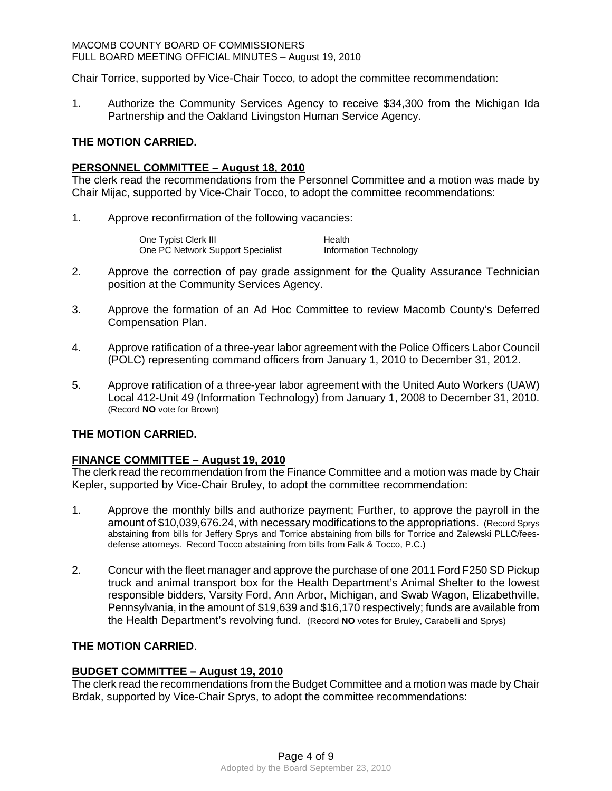Chair Torrice, supported by Vice-Chair Tocco, to adopt the committee recommendation:

1. Authorize the Community Services Agency to receive \$34,300 from the Michigan Ida Partnership and the Oakland Livingston Human Service Agency.

### **THE MOTION CARRIED.**

#### **PERSONNEL COMMITTEE – August 18, 2010**

The clerk read the recommendations from the Personnel Committee and a motion was made by Chair Mijac, supported by Vice-Chair Tocco, to adopt the committee recommendations:

1. Approve reconfirmation of the following vacancies:

| One Typist Clerk III              | Health                 |
|-----------------------------------|------------------------|
| One PC Network Support Specialist | Information Technology |

- 2. Approve the correction of pay grade assignment for the Quality Assurance Technician position at the Community Services Agency.
- 3. Approve the formation of an Ad Hoc Committee to review Macomb County's Deferred Compensation Plan.
- 4. Approve ratification of a three-year labor agreement with the Police Officers Labor Council (POLC) representing command officers from January 1, 2010 to December 31, 2012.
- 5. Approve ratification of a three-year labor agreement with the United Auto Workers (UAW) Local 412-Unit 49 (Information Technology) from January 1, 2008 to December 31, 2010. (Record **NO** vote for Brown)

### **THE MOTION CARRIED.**

### **FINANCE COMMITTEE – August 19, 2010**

The clerk read the recommendation from the Finance Committee and a motion was made by Chair Kepler, supported by Vice-Chair Bruley, to adopt the committee recommendation:

- 1. Approve the monthly bills and authorize payment; Further, to approve the payroll in the amount of \$10,039,676.24, with necessary modifications to the appropriations. (Record Sprys abstaining from bills for Jeffery Sprys and Torrice abstaining from bills for Torrice and Zalewski PLLC/feesdefense attorneys. Record Tocco abstaining from bills from Falk & Tocco, P.C.)
- 2. Concur with the fleet manager and approve the purchase of one 2011 Ford F250 SD Pickup truck and animal transport box for the Health Department's Animal Shelter to the lowest responsible bidders, Varsity Ford, Ann Arbor, Michigan, and Swab Wagon, Elizabethville, Pennsylvania, in the amount of \$19,639 and \$16,170 respectively; funds are available from the Health Department's revolving fund. (Record **NO** votes for Bruley, Carabelli and Sprys)

### **THE MOTION CARRIED**.

### **BUDGET COMMITTEE – August 19, 2010**

The clerk read the recommendations from the Budget Committee and a motion was made by Chair Brdak, supported by Vice-Chair Sprys, to adopt the committee recommendations: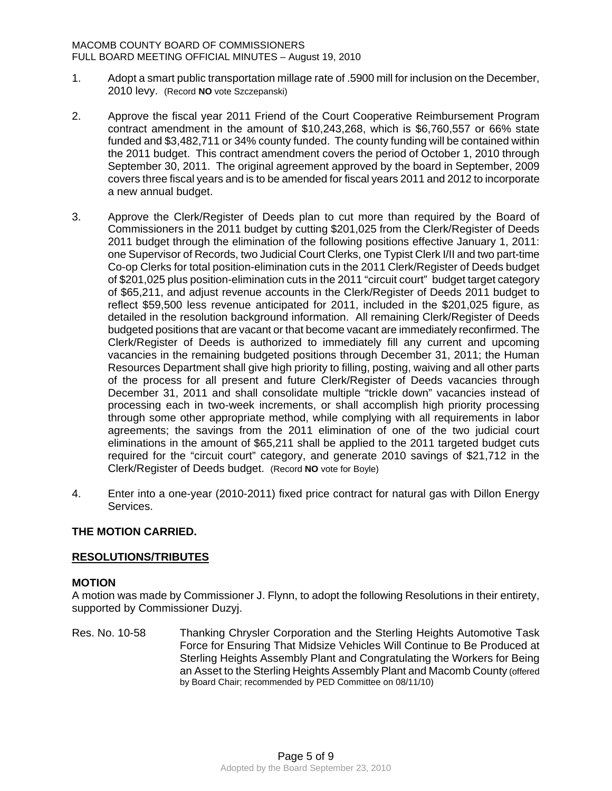- 1. Adopt a smart public transportation millage rate of .5900 mill for inclusion on the December, 2010 levy. (Record **NO** vote Szczepanski)
- 2. Approve the fiscal year 2011 Friend of the Court Cooperative Reimbursement Program contract amendment in the amount of \$10,243,268, which is \$6,760,557 or 66% state funded and \$3,482,711 or 34% county funded. The county funding will be contained within the 2011 budget. This contract amendment covers the period of October 1, 2010 through September 30, 2011. The original agreement approved by the board in September, 2009 covers three fiscal years and is to be amended for fiscal years 2011 and 2012 to incorporate a new annual budget.
- 3. Approve the Clerk/Register of Deeds plan to cut more than required by the Board of Commissioners in the 2011 budget by cutting \$201,025 from the Clerk/Register of Deeds 2011 budget through the elimination of the following positions effective January 1, 2011: one Supervisor of Records, two Judicial Court Clerks, one Typist Clerk I/II and two part-time Co-op Clerks for total position-elimination cuts in the 2011 Clerk/Register of Deeds budget of \$201,025 plus position-elimination cuts in the 2011 "circuit court" budget target category of \$65,211, and adjust revenue accounts in the Clerk/Register of Deeds 2011 budget to reflect \$59,500 less revenue anticipated for 2011, included in the \$201,025 figure, as detailed in the resolution background information. All remaining Clerk/Register of Deeds budgeted positions that are vacant or that become vacant are immediately reconfirmed. The Clerk/Register of Deeds is authorized to immediately fill any current and upcoming vacancies in the remaining budgeted positions through December 31, 2011; the Human Resources Department shall give high priority to filling, posting, waiving and all other parts of the process for all present and future Clerk/Register of Deeds vacancies through December 31, 2011 and shall consolidate multiple "trickle down" vacancies instead of processing each in two-week increments, or shall accomplish high priority processing through some other appropriate method, while complying with all requirements in labor agreements; the savings from the 2011 elimination of one of the two judicial court eliminations in the amount of \$65,211 shall be applied to the 2011 targeted budget cuts required for the "circuit court" category, and generate 2010 savings of \$21,712 in the Clerk/Register of Deeds budget. (Record **NO** vote for Boyle)
- 4. Enter into a one-year (2010-2011) fixed price contract for natural gas with Dillon Energy Services.

## **THE MOTION CARRIED.**

### **RESOLUTIONS/TRIBUTES**

### **MOTION**

A motion was made by Commissioner J. Flynn, to adopt the following Resolutions in their entirety, supported by Commissioner Duzyj.

Res. No. 10-58 Thanking Chrysler Corporation and the Sterling Heights Automotive Task Force for Ensuring That Midsize Vehicles Will Continue to Be Produced at Sterling Heights Assembly Plant and Congratulating the Workers for Being an Asset to the Sterling Heights Assembly Plant and Macomb County (offered by Board Chair; recommended by PED Committee on 08/11/10)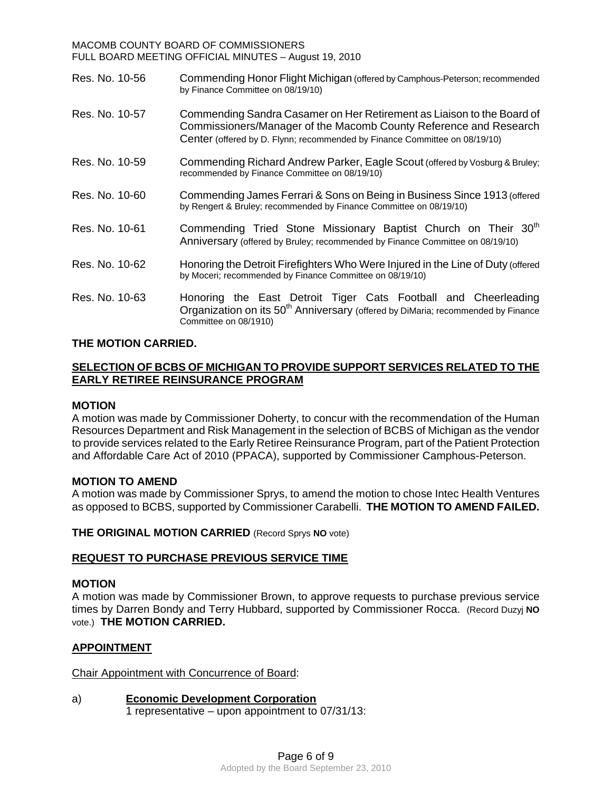| Res. No. 10-56 | Commending Honor Flight Michigan (offered by Camphous-Peterson; recommended<br>by Finance Committee on 08/19/10)                                                                                                          |  |  |  |
|----------------|---------------------------------------------------------------------------------------------------------------------------------------------------------------------------------------------------------------------------|--|--|--|
| Res. No. 10-57 | Commending Sandra Casamer on Her Retirement as Liaison to the Board of<br>Commissioners/Manager of the Macomb County Reference and Research<br>Center (offered by D. Flynn; recommended by Finance Committee on 08/19/10) |  |  |  |
| Res. No. 10-59 | Commending Richard Andrew Parker, Eagle Scout (offered by Vosburg & Bruley;<br>recommended by Finance Committee on 08/19/10)                                                                                              |  |  |  |
| Res. No. 10-60 | Commending James Ferrari & Sons on Being in Business Since 1913 (offered<br>by Rengert & Bruley; recommended by Finance Committee on 08/19/10)                                                                            |  |  |  |
| Res. No. 10-61 | Commending Tried Stone Missionary Baptist Church on Their 30 <sup>th</sup><br>Anniversary (offered by Bruley; recommended by Finance Committee on 08/19/10)                                                               |  |  |  |
| Res. No. 10-62 | Honoring the Detroit Firefighters Who Were Injured in the Line of Duty (offered<br>by Moceri; recommended by Finance Committee on 08/19/10)                                                                               |  |  |  |
| Res. No. 10-63 | Honoring the East Detroit Tiger Cats Football and Cheerleading<br>Organization on its 50 <sup>th</sup> Anniversary (offered by DiMaria; recommended by Finance<br>Committee on 08/1910)                                   |  |  |  |

## **THE MOTION CARRIED.**

## **SELECTION OF BCBS OF MICHIGAN TO PROVIDE SUPPORT SERVICES RELATED TO THE EARLY RETIREE REINSURANCE PROGRAM**

### **MOTION**

A motion was made by Commissioner Doherty, to concur with the recommendation of the Human Resources Department and Risk Management in the selection of BCBS of Michigan as the vendor to provide services related to the Early Retiree Reinsurance Program, part of the Patient Protection and Affordable Care Act of 2010 (PPACA), supported by Commissioner Camphous-Peterson.

#### **MOTION TO AMEND**

A motion was made by Commissioner Sprys, to amend the motion to chose Intec Health Ventures as opposed to BCBS, supported by Commissioner Carabelli. **THE MOTION TO AMEND FAILED.** 

**THE ORIGINAL MOTION CARRIED** (Record Sprys **NO** vote)

### **REQUEST TO PURCHASE PREVIOUS SERVICE TIME**

### **MOTION**

A motion was made by Commissioner Brown, to approve requests to purchase previous service times by Darren Bondy and Terry Hubbard, supported by Commissioner Rocca. (Record Duzyj **NO** vote.) **THE MOTION CARRIED.** 

### **APPOINTMENT**

Chair Appointment with Concurrence of Board:

a) **Economic Development Corporation** 1 representative – upon appointment to 07/31/13: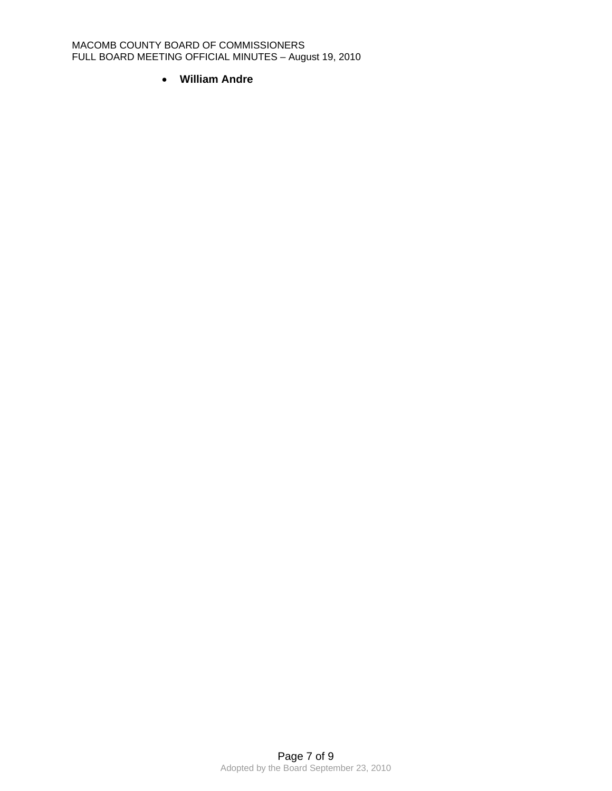• **William Andre**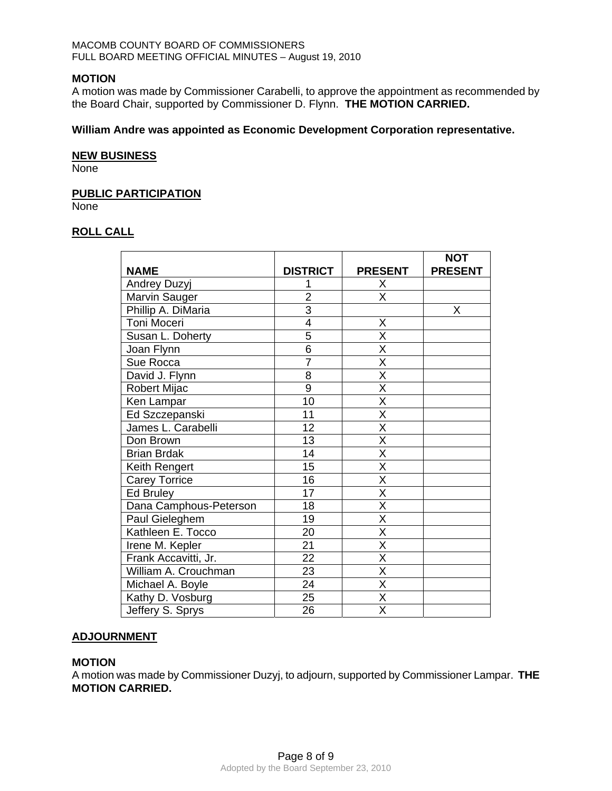### **MOTION**

A motion was made by Commissioner Carabelli, to approve the appointment as recommended by the Board Chair, supported by Commissioner D. Flynn. **THE MOTION CARRIED.** 

### **William Andre was appointed as Economic Development Corporation representative.**

#### **NEW BUSINESS**

None

### **PUBLIC PARTICIPATION**

None

### **ROLL CALL**

| <b>NAME</b>            | <b>DISTRICT</b> | <b>PRESENT</b>          | <b>NOT</b><br><b>PRESENT</b> |
|------------------------|-----------------|-------------------------|------------------------------|
| <b>Andrey Duzyj</b>    |                 | Χ                       |                              |
| Marvin Sauger          | $\overline{2}$  | X                       |                              |
| Phillip A. DiMaria     | 3               |                         | X                            |
| Toni Moceri            | $\overline{4}$  | Χ                       |                              |
| Susan L. Doherty       | 5               | X                       |                              |
| Joan Flynn             | 6               | X                       |                              |
| Sue Rocca              | $\overline{7}$  | Χ                       |                              |
| David J. Flynn         | $\overline{8}$  | $\overline{\mathsf{x}}$ |                              |
| Robert Mijac           | $\overline{9}$  | $\overline{\mathsf{x}}$ |                              |
| Ken Lampar             | 10              | Χ                       |                              |
| Ed Szczepanski         | 11              | $\overline{\mathsf{x}}$ |                              |
| James L. Carabelli     | 12              | $\overline{\mathsf{x}}$ |                              |
| Don Brown              | 13              | X                       |                              |
| <b>Brian Brdak</b>     | 14              | X                       |                              |
| Keith Rengert          | 15              | X                       |                              |
| <b>Carey Torrice</b>   | 16              | $\overline{\mathsf{x}}$ |                              |
| Ed Bruley              | 17              | $\overline{\mathsf{X}}$ |                              |
| Dana Camphous-Peterson | 18              | X                       |                              |
| Paul Gieleghem         | 19              | $\overline{\mathsf{X}}$ |                              |
| Kathleen E. Tocco      | 20              | $\overline{\mathsf{x}}$ |                              |
| Irene M. Kepler        | 21              | X                       |                              |
| Frank Accavitti, Jr.   | 22              | $\overline{\mathsf{x}}$ |                              |
| William A. Crouchman   | 23              | X                       |                              |
| Michael A. Boyle       | $\overline{24}$ | $\overline{\mathsf{x}}$ |                              |
| Kathy D. Vosburg       | 25              | $\overline{\mathsf{x}}$ |                              |
| Jeffery S. Sprys       | 26              | $\overline{\mathsf{x}}$ |                              |

### **ADJOURNMENT**

### **MOTION**

A motion was made by Commissioner Duzyj, to adjourn, supported by Commissioner Lampar. **THE MOTION CARRIED.**